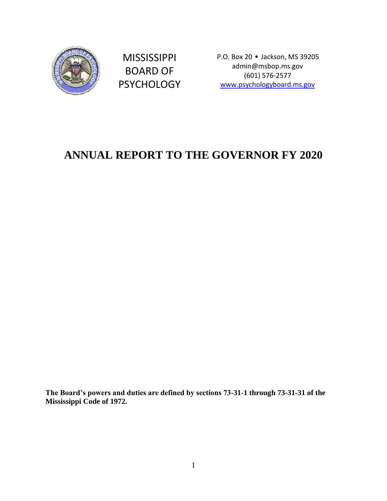

MISSISSIPPI BOARD OF PSYCHOLOGY P.O. Box 20 • Jackson, MS 39205 [admin@msbop.ms.gov](mailto:admin@msbop.ms.gov) (601) 576-2577 [www.psychologyboard.ms.gov](http://www.psychologyboard.ms.gov/)

# **ANNUAL REPORT TO THE GOVERNOR FY 2020**

**The Board's powers and duties are defined by sections 73-31-1 through 73-31-31 of the Mississippi Code of 1972.**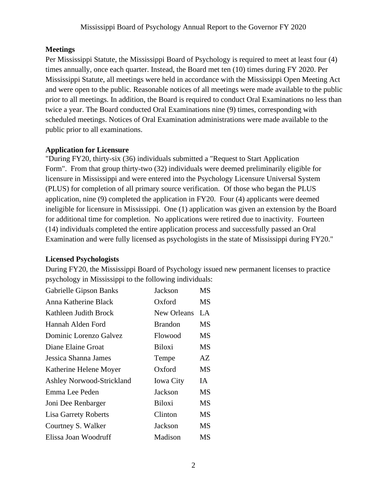### **Meetings**

Per Mississippi Statute, the Mississippi Board of Psychology is required to meet at least four (4) times annually, once each quarter. Instead, the Board met ten (10) times during FY 2020. Per Mississippi Statute, all meetings were held in accordance with the Mississippi Open Meeting Act and were open to the public. Reasonable notices of all meetings were made available to the public prior to all meetings. In addition, the Board is required to conduct Oral Examinations no less than twice a year. The Board conducted Oral Examinations nine (9) times, corresponding with scheduled meetings. Notices of Oral Examination administrations were made available to the public prior to all examinations.

### **Application for Licensure**

"During FY20, thirty-six (36) individuals submitted a "Request to Start Application Form". From that group thirty-two (32) individuals were deemed preliminarily eligible for licensure in Mississippi and were entered into the Psychology Licensure Universal System (PLUS) for completion of all primary source verification. Of those who began the PLUS application, nine (9) completed the application in FY20. Four (4) applicants were deemed ineligible for licensure in Mississippi. One (1) application was given an extension by the Board for additional time for completion. No applications were retired due to inactivity. Fourteen (14) individuals completed the entire application process and successfully passed an Oral Examination and were fully licensed as psychologists in the state of Mississippi during FY20."

### **Licensed Psychologists**

During FY20, the Mississippi Board of Psychology issued new permanent licenses to practice psychology in Mississippi to the following individuals:

| Gabrielle Gipson Banks           | Jackson          | MS        |
|----------------------------------|------------------|-----------|
| Anna Katherine Black             | Oxford           | <b>MS</b> |
| Kathleen Judith Brock            | New Orleans      | $L^A$     |
| Hannah Alden Ford                | <b>Brandon</b>   | <b>MS</b> |
| Dominic Lorenzo Galvez           | Flowood          | MS        |
| Diane Elaine Groat               | <b>Biloxi</b>    | <b>MS</b> |
| Jessica Shanna James             | Tempe            | AZ        |
| Katherine Helene Moyer           | Oxford           | <b>MS</b> |
| <b>Ashley Norwood-Strickland</b> | <b>Iowa City</b> | <b>IA</b> |
| Emma Lee Peden                   | Jackson          | <b>MS</b> |
| Joni Dee Renbarger               | <b>Biloxi</b>    | <b>MS</b> |
| <b>Lisa Garrety Roberts</b>      | Clinton          | <b>MS</b> |
| Courtney S. Walker               | Jackson          | <b>MS</b> |
| Elissa Joan Woodruff             | Madison          | <b>MS</b> |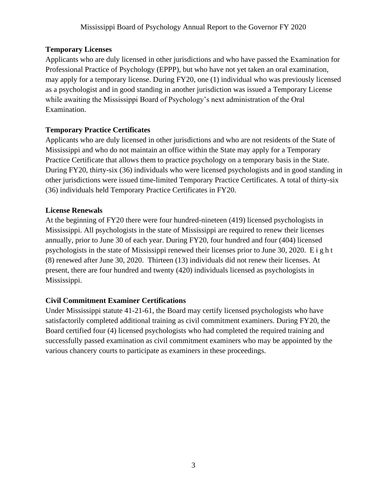# **Temporary Licenses**

Applicants who are duly licensed in other jurisdictions and who have passed the Examination for Professional Practice of Psychology (EPPP), but who have not yet taken an oral examination, may apply for a temporary license. During FY20, one (1) individual who was previously licensed as a psychologist and in good standing in another jurisdiction was issued a Temporary License while awaiting the Mississippi Board of Psychology's next administration of the Oral Examination.

# **Temporary Practice Certificates**

Applicants who are duly licensed in other jurisdictions and who are not residents of the State of Mississippi and who do not maintain an office within the State may apply for a Temporary Practice Certificate that allows them to practice psychology on a temporary basis in the State. During FY20, thirty-six (36) individuals who were licensed psychologists and in good standing in other jurisdictions were issued time-limited Temporary Practice Certificates. A total of thirty-six (36) individuals held Temporary Practice Certificates in FY20.

# **License Renewals**

At the beginning of FY20 there were four hundred-nineteen (419) licensed psychologists in Mississippi. All psychologists in the state of Mississippi are required to renew their licenses annually, prior to June 30 of each year. During FY20, four hundred and four (404) licensed psychologists in the state of Mississippi renewed their licenses prior to June 30, 2020. E i g h t (8) renewed after June 30, 2020. Thirteen (13) individuals did not renew their licenses. At present, there are four hundred and twenty (420) individuals licensed as psychologists in Mississippi.

# **Civil Commitment Examiner Certifications**

Under Mississippi statute 41-21-61, the Board may certify licensed psychologists who have satisfactorily completed additional training as civil commitment examiners. During FY20, the Board certified four (4) licensed psychologists who had completed the required training and successfully passed examination as civil commitment examiners who may be appointed by the various chancery courts to participate as examiners in these proceedings.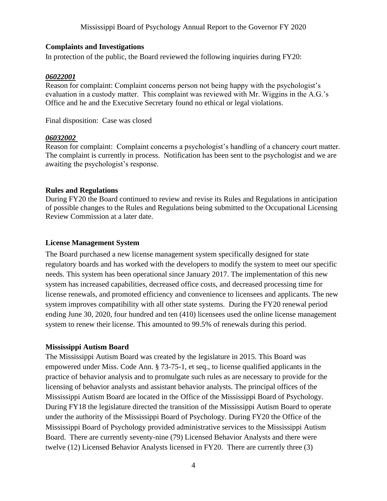### **Complaints and Investigations**

In protection of the public, the Board reviewed the following inquiries during FY20:

### *06022001*

Reason for complaint: Complaint concerns person not being happy with the psychologist's evaluation in a custody matter. This complaint was reviewed with Mr. Wiggins in the A.G.'s Office and he and the Executive Secretary found no ethical or legal violations.

Final disposition: Case was closed

#### *06032002*

Reason for complaint: Complaint concerns a psychologist's handling of a chancery court matter. The complaint is currently in process. Notification has been sent to the psychologist and we are awaiting the psychologist's response.

#### **Rules and Regulations**

During FY20 the Board continued to review and revise its Rules and Regulations in anticipation of possible changes to the Rules and Regulations being submitted to the Occupational Licensing Review Commission at a later date.

#### **License Management System**

The Board purchased a new license management system specifically designed for state regulatory boards and has worked with the developers to modify the system to meet our specific needs. This system has been operational since January 2017. The implementation of this new system has increased capabilities, decreased office costs, and decreased processing time for license renewals, and promoted efficiency and convenience to licensees and applicants. The new system improves compatibility with all other state systems. During the FY20 renewal period ending June 30, 2020, four hundred and ten (410) licensees used the online license management system to renew their license. This amounted to 99.5% of renewals during this period.

#### **Mississippi Autism Board**

The Mississippi Autism Board was created by the legislature in 2015. This Board was empowered under Miss. Code Ann. § 73-75-1, et seq., to license qualified applicants in the practice of behavior analysis and to promulgate such rules as are necessary to provide for the licensing of behavior analysts and assistant behavior analysts. The principal offices of the Mississippi Autism Board are located in the Office of the Mississippi Board of Psychology. During FY18 the legislature directed the transition of the Mississippi Autism Board to operate under the authority of the Mississippi Board of Psychology. During FY20 the Office of the Mississippi Board of Psychology provided administrative services to the Mississippi Autism Board. There are currently seventy-nine (79) Licensed Behavior Analysts and there were twelve (12) Licensed Behavior Analysts licensed in FY20. There are currently three (3)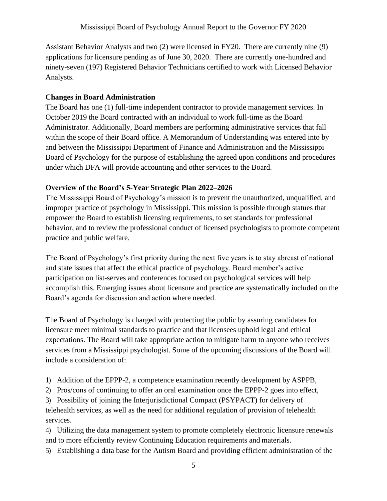Assistant Behavior Analysts and two (2) were licensed in FY20. There are currently nine (9) applications for licensure pending as of June 30, 2020. There are currently one-hundred and ninety-seven (197) Registered Behavior Technicians certified to work with Licensed Behavior Analysts.

# **Changes in Board Administration**

The Board has one (1) full-time independent contractor to provide management services. In October 2019 the Board contracted with an individual to work full-time as the Board Administrator. Additionally, Board members are performing administrative services that fall within the scope of their Board office. A Memorandum of Understanding was entered into by and between the Mississippi Department of Finance and Administration and the Mississippi Board of Psychology for the purpose of establishing the agreed upon conditions and procedures under which DFA will provide accounting and other services to the Board.

# **Overview of the Board's 5-Year Strategic Plan 2022–2026**

The Mississippi Board of Psychology's mission is to prevent the unauthorized, unqualified, and improper practice of psychology in Mississippi. This mission is possible through statues that empower the Board to establish licensing requirements, to set standards for professional behavior, and to review the professional conduct of licensed psychologists to promote competent practice and public welfare.

The Board of Psychology's first priority during the next five years is to stay abreast of national and state issues that affect the ethical practice of psychology. Board member's active participation on list-serves and conferences focused on psychological services will help accomplish this. Emerging issues about licensure and practice are systematically included on the Board's agenda for discussion and action where needed.

The Board of Psychology is charged with protecting the public by assuring candidates for licensure meet minimal standards to practice and that licensees uphold legal and ethical expectations. The Board will take appropriate action to mitigate harm to anyone who receives services from a Mississippi psychologist. Some of the upcoming discussions of the Board will include a consideration of:

- 1) Addition of the EPPP-2, a competence examination recently development by ASPPB,
- 2) Pros/cons of continuing to offer an oral examination once the EPPP-2 goes into effect,

3) Possibility of joining the Interjurisdictional Compact (PSYPACT) for delivery of telehealth services, as well as the need for additional regulation of provision of telehealth services.

4) Utilizing the data management system to promote completely electronic licensure renewals and to more efficiently review Continuing Education requirements and materials.

5) Establishing a data base for the Autism Board and providing efficient administration of the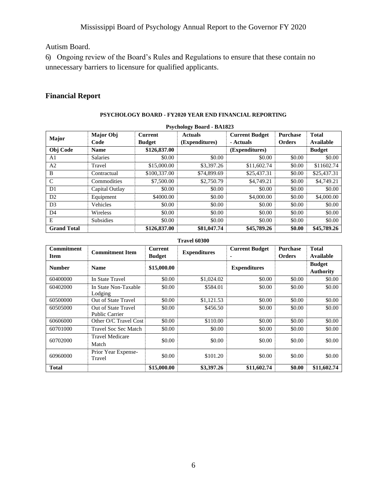### Autism Board.

6) Ongoing review of the Board's Rules and Regulations to ensure that these contain no unnecessary barriers to licensure for qualified applicants.

### **Financial Report**

#### **PSYCHOLOGY BOARD - FY2020 YEAR END FINANCIAL REPORTING**

| 1 Sychology Doaru - DA1043 |                  |                |                |                       |                 |               |  |
|----------------------------|------------------|----------------|----------------|-----------------------|-----------------|---------------|--|
| Major                      | <b>Major Obj</b> | <b>Current</b> | <b>Actuals</b> | <b>Current Budget</b> | <b>Purchase</b> | <b>Total</b>  |  |
|                            | Code             | <b>Budget</b>  | (Expenditures) | - Actuals             | <b>Orders</b>   | Available     |  |
| Obj Code                   | <b>Name</b>      | \$126,837.00   |                | (Expenditures)        |                 | <b>Budget</b> |  |
| A1                         | <b>Salaries</b>  | \$0.00         | \$0.00         | \$0.00                | \$0.00          | \$0.00        |  |
| A2                         | Travel           | \$15,000.00    | \$3,397.26     | \$11,602.74           | \$0.00          | \$11602.74    |  |
| B                          | Contractual      | \$100,337.00   | \$74,899.69    | \$25,437.31           | \$0.00          | \$25,437.31   |  |
| $\mathcal{C}$              | Commodities      | \$7,500.00     | \$2,750.79     | \$4,749.21            | \$0.00          | \$4,749.21    |  |
| D1                         | Capital Outlay   | \$0.00         | \$0.00         | \$0.00                | \$0.00          | \$0.00        |  |
| D2                         | Equipment        | \$4000.00      | \$0.00         | \$4,000.00            | \$0.00          | \$4,000.00    |  |
| D <sub>3</sub>             | Vehicles         | \$0.00         | \$0.00         | \$0.00                | \$0.00          | \$0.00        |  |
| D <sub>4</sub>             | Wireless         | \$0.00         | \$0.00         | \$0.00                | \$0.00          | \$0.00        |  |
| E                          | <b>Subsidies</b> | \$0.00         | \$0.00         | \$0.00                | \$0.00          | \$0.00        |  |
| <b>Grand Total</b>         |                  | \$126,837.00   | \$81,047.74    | \$45,789.26           | \$0.00          | \$45,789.26   |  |

#### **Psychology Board - BA1823**

**Travel 60300**

| 11 avu uujuu                     |                                              |                                 |                     |                            |                                  |                                   |
|----------------------------------|----------------------------------------------|---------------------------------|---------------------|----------------------------|----------------------------------|-----------------------------------|
| <b>Commitment</b><br><b>Item</b> | <b>Commitment Item</b>                       | <b>Current</b><br><b>Budget</b> | <b>Expenditures</b> | <b>Current Budget</b><br>٠ | <b>Purchase</b><br><b>Orders</b> | <b>Total</b><br>Available         |
| <b>Number</b>                    | <b>Name</b>                                  | \$15,000.00                     |                     | <b>Expenditures</b>        |                                  | <b>Budget</b><br><b>Authority</b> |
| 60400000                         | In State Travel                              | \$0.00                          | \$1,024.02          | \$0.00                     | \$0.00                           | \$0.00                            |
| 60402000                         | In State Non-Taxable<br>Lodging              | \$0.00                          | \$584.01            | \$0.00                     | \$0.00                           | \$0.00                            |
| 60500000                         | Out of State Travel                          | \$0.00                          | \$1,121.53          | \$0.00                     | \$0.00                           | \$0.00                            |
| 60505000                         | Out of State Travel<br><b>Public Carrier</b> | \$0.00                          | \$456.50            | \$0.00                     | \$0.00                           | \$0.00                            |
| 60606000                         | Other O/C Travel Cost                        | \$0.00                          | \$110.00            | \$0.00                     | \$0.00                           | \$0.00                            |
| 60701000                         | <b>Travel Soc Sec Match</b>                  | \$0.00                          | \$0.00              | \$0.00                     | \$0.00                           | \$0.00                            |
| 60702000                         | <b>Travel Medicare</b><br>Match              | \$0.00                          | \$0.00              | \$0.00                     | \$0.00                           | \$0.00                            |
| 60960000                         | Prior Year Expense-<br>Travel                | \$0.00                          | \$101.20            | \$0.00                     | \$0.00                           | \$0.00                            |
| <b>Total</b>                     |                                              | \$15,000.00                     | \$3,397.26          | \$11,602.74                | \$0.00                           | \$11,602.74                       |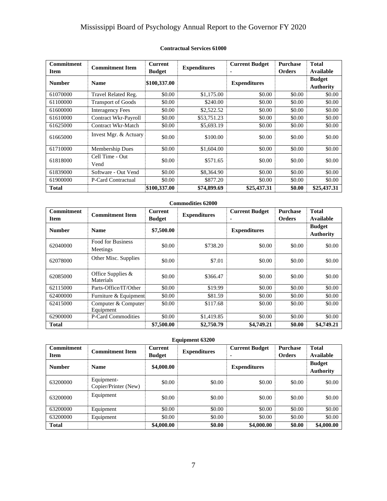# Mississippi Board of Psychology Annual Report to the Governor FY 2020

| <b>Commitment</b> | <b>Commitment Item</b>    | <b>Current</b> |                     | <b>Current Budget</b> | <b>Purchase</b> | <b>Total</b>     |
|-------------------|---------------------------|----------------|---------------------|-----------------------|-----------------|------------------|
| <b>Item</b>       |                           | <b>Budget</b>  | <b>Expenditures</b> |                       | <b>Orders</b>   | Available        |
| <b>Number</b>     | <b>Name</b>               | \$100,337.00   | <b>Expenditures</b> |                       | <b>Budget</b>   |                  |
|                   |                           |                |                     |                       |                 | <b>Authority</b> |
| 61070000          | Travel Related Reg.       | \$0.00         | \$1,175.00          | \$0.00                | \$0.00          | \$0.00           |
| 61100000          | <b>Transport of Goods</b> | \$0.00         | \$240.00            | \$0.00                | \$0.00          | \$0.00           |
| 61600000          | <b>Interagency Fees</b>   | \$0.00         | \$2,522.52          | \$0.00                | \$0.00          | \$0.00           |
| 61610000          | Contract Wkr-Payroll      | \$0.00         | \$53,751.23         | \$0.00                | \$0.00          | \$0.00           |
| 61625000          | Contract Wkr-Match        | \$0.00         | \$5,693.19          | \$0.00                | \$0.00          | \$0.00           |
| 61665000          | Invest Mgr. & Actuary     | \$0.00         | \$100.00            | \$0.00                | \$0.00          | \$0.00           |
| 61710000          | Membership Dues           | \$0.00         | \$1,604.00          | \$0.00                | \$0.00          | \$0.00           |
| 61818000          | Cell Time - Out<br>Vend   | \$0.00         | \$571.65            | \$0.00                | \$0.00          | \$0.00           |
| 61839000          | Software - Out Vend       | \$0.00         | \$8,364.90          | \$0.00                | \$0.00          | \$0.00           |
| 61900000          | P-Card Contractual        | \$0.00         | \$877.20            | \$0.00                | \$0.00          | \$0.00           |
| <b>Total</b>      |                           | \$100,337.00   | \$74,899.69         | \$25,437.31           | \$0.00          | \$25,437.31      |

### **Contractual Services 61000**

| <b>Commodities 62000</b>         |                                      |                                 |                     |                       |                                  |                                   |
|----------------------------------|--------------------------------------|---------------------------------|---------------------|-----------------------|----------------------------------|-----------------------------------|
| <b>Commitment</b><br><b>Item</b> | <b>Commitment Item</b>               | <b>Current</b><br><b>Budget</b> | <b>Expenditures</b> | <b>Current Budget</b> | <b>Purchase</b><br><b>Orders</b> | <b>Total</b><br>Available         |
| <b>Number</b>                    | <b>Name</b>                          | \$7,500.00                      |                     | <b>Expenditures</b>   |                                  | <b>Budget</b><br><b>Authority</b> |
| 62040000                         | <b>Food for Business</b><br>Meetings | \$0.00                          | \$738.20            | \$0.00                | \$0.00                           | \$0.00                            |
| 62078000                         | Other Misc. Supplies                 | \$0.00                          | \$7.01              | \$0.00                | \$0.00                           | \$0.00                            |
| 62085000                         | Office Supplies &<br>Materials       | \$0.00                          | \$366.47            | \$0.00                | \$0.00                           | \$0.00                            |
| 62115000                         | Parts-Office/IT/Other                | \$0.00                          | \$19.99             | \$0.00                | \$0.00                           | \$0.00                            |
| 62400000                         | Furniture & Equipment                | \$0.00                          | \$81.59             | \$0.00                | \$0.00                           | \$0.00                            |
| 62415000                         | Computer & Computer<br>Equipment     | \$0.00                          | \$117.68            | \$0.00                | \$0.00                           | \$0.00                            |
| 62900000                         | P-Card Commodities                   | \$0.00                          | \$1,419.85          | \$0.00                | \$0.00                           | \$0.00                            |
| <b>Total</b>                     |                                      | \$7,500.00                      | \$2,750.79          | \$4,749.21            | \$0.00                           | \$4,749.21                        |

| <b>Commitment</b> | <b>Commitment Item</b>             | <b>Current</b><br><b>Budget</b> | <b>Equipment 63200</b><br><b>Expenditures</b> | <b>Current Budget</b> | <b>Purchase</b> | <b>Total</b>                      |
|-------------------|------------------------------------|---------------------------------|-----------------------------------------------|-----------------------|-----------------|-----------------------------------|
| <b>Item</b>       |                                    |                                 |                                               |                       | <b>Orders</b>   | Available                         |
| <b>Number</b>     | <b>Name</b>                        | \$4,000.00                      |                                               | <b>Expenditures</b>   |                 | <b>Budget</b><br><b>Authority</b> |
| 63200000          | Equipment-<br>Copier/Printer (New) | \$0.00                          | \$0.00                                        | \$0.00                | \$0.00          | \$0.00                            |
| 63200000          | Equipment                          | \$0.00                          | \$0.00                                        | \$0.00                | \$0.00          | \$0.00                            |
| 63200000          | Equipment                          | \$0.00                          | \$0.00                                        | \$0.00                | \$0.00          | \$0.00                            |
| 63200000          | Equipment                          | \$0.00                          | \$0.00                                        | \$0.00                | \$0.00          | \$0.00                            |
| <b>Total</b>      |                                    | \$4,000.00                      | \$0.00                                        | \$4,000.00            | \$0.00          | \$4,000.00                        |